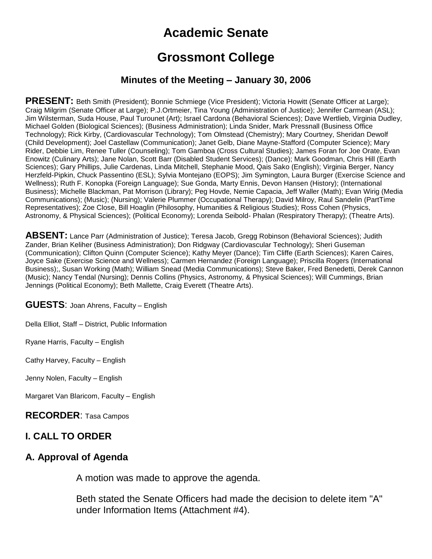# **Academic Senate**

# **Grossmont College**

#### **Minutes of the Meeting – January 30, 2006**

**PRESENT:** Beth Smith (President); Bonnie Schmiege (Vice President); Victoria Howitt (Senate Officer at Large); Craig Milgrim (Senate Officer at Large); P.J.Ortmeier, Tina Young (Administration of Justice); Jennifer Carmean (ASL); Jim Wilsterman, Suda House, Paul Turounet (Art); Israel Cardona (Behavioral Sciences); Dave Wertlieb, Virginia Dudley, Michael Golden (Biological Sciences); (Business Administration); Linda Snider, Mark Pressnall (Business Office Technology); Rick Kirby, (Cardiovascular Technology); Tom Olmstead (Chemistry); Mary Courtney, Sheridan Dewolf (Child Development); Joel Castellaw (Communication); Janet Gelb, Diane Mayne-Stafford (Computer Science); Mary Rider, Debbie Lim, Renee Tuller (Counseling); Tom Gamboa (Cross Cultural Studies); James Foran for Joe Orate, Evan Enowitz (Culinary Arts); Jane Nolan, Scott Barr (Disabled Student Services); (Dance); Mark Goodman, Chris Hill (Earth Sciences); Gary Phillips, Julie Cardenas, Linda Mitchell, Stephanie Mood, Qais Sako (English); Virginia Berger, Nancy Herzfeld-Pipkin, Chuck Passentino (ESL); Sylvia Montejano (EOPS); Jim Symington, Laura Burger (Exercise Science and Wellness); Ruth F. Konopka (Foreign Language); Sue Gonda, Marty Ennis, Devon Hansen (History); (International Business); Michelle Blackman, Pat Morrison (Library); Peg Hovde, Nemie Capacia, Jeff Waller (Math); Evan Wirig (Media Communications); (Music); (Nursing); Valerie Plummer (Occupational Therapy); David Milroy, Raul Sandelin (PartTime Representatives); Zoe Close, Bill Hoaglin (Philosophy, Humanities & Religious Studies); Ross Cohen (Physics, Astronomy, & Physical Sciences); (Political Economy); Lorenda Seibold- Phalan (Respiratory Therapy); (Theatre Arts).

ABSENT: Lance Parr (Administration of Justice); Teresa Jacob, Gregg Robinson (Behavioral Sciences); Judith Zander, Brian Keliher (Business Administration); Don Ridgway (Cardiovascular Technology); Sheri Guseman (Communication); Clifton Quinn (Computer Science); Kathy Meyer (Dance); Tim Cliffe (Earth Sciences); Karen Caires, Joyce Sake (Exercise Science and Wellness); Carmen Hernandez (Foreign Language); Priscilla Rogers (International Business);, Susan Working (Math); William Snead (Media Communications); Steve Baker, Fred Benedetti, Derek Cannon (Music); Nancy Tendal (Nursing); Dennis Collins (Physics, Astronomy, & Physical Sciences); Will Cummings, Brian Jennings (Political Economy); Beth Mallette, Craig Everett (Theatre Arts).

**GUESTS**: Joan Ahrens, Faculty – English

Della Elliot, Staff – District, Public Information

Ryane Harris, Faculty – English

Cathy Harvey, Faculty – English

Jenny Nolen, Faculty – English

Margaret Van Blaricom, Faculty – English

**RECORDER**: Tasa Campos

#### **I. CALL TO ORDER**

#### **A. Approval of Agenda**

A motion was made to approve the agenda.

Beth stated the Senate Officers had made the decision to delete item "A" under Information Items (Attachment #4).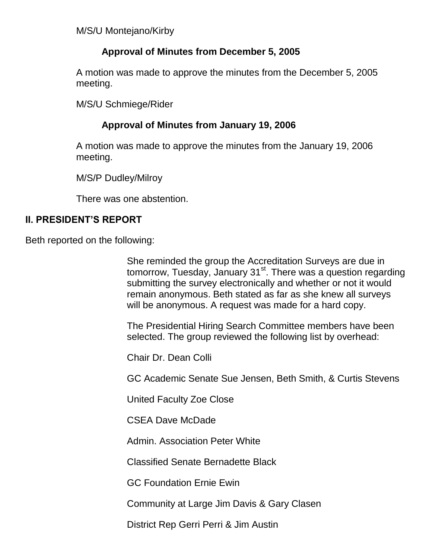M/S/U Montejano/Kirby

## **Approval of Minutes from December 5, 2005**

A motion was made to approve the minutes from the December 5, 2005 meeting.

M/S/U Schmiege/Rider

# **Approval of Minutes from January 19, 2006**

A motion was made to approve the minutes from the January 19, 2006 meeting.

M/S/P Dudley/Milroy

There was one abstention.

## **II. PRESIDENT'S REPORT**

Beth reported on the following:

She reminded the group the Accreditation Surveys are due in tomorrow, Tuesday, January 31<sup>st</sup>. There was a question regarding submitting the survey electronically and whether or not it would remain anonymous. Beth stated as far as she knew all surveys will be anonymous. A request was made for a hard copy.

The Presidential Hiring Search Committee members have been selected. The group reviewed the following list by overhead:

Chair Dr. Dean Colli

GC Academic Senate Sue Jensen, Beth Smith, & Curtis Stevens

United Faculty Zoe Close

CSEA Dave McDade

Admin. Association Peter White

Classified Senate Bernadette Black

GC Foundation Ernie Ewin

Community at Large Jim Davis & Gary Clasen

District Rep Gerri Perri & Jim Austin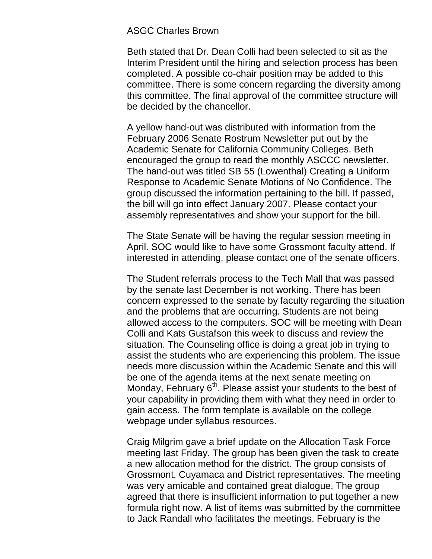#### ASGC Charles Brown

Beth stated that Dr. Dean Colli had been selected to sit as the Interim President until the hiring and selection process has been completed. A possible co-chair position may be added to this committee. There is some concern regarding the diversity among this committee. The final approval of the committee structure will be decided by the chancellor.

A yellow hand-out was distributed with information from the February 2006 Senate Rostrum Newsletter put out by the Academic Senate for California Community Colleges. Beth encouraged the group to read the monthly ASCCC newsletter. The hand-out was titled SB 55 (Lowenthal) Creating a Uniform Response to Academic Senate Motions of No Confidence. The group discussed the information pertaining to the bill. If passed, the bill will go into effect January 2007. Please contact your assembly representatives and show your support for the bill.

The State Senate will be having the regular session meeting in April. SOC would like to have some Grossmont faculty attend. If interested in attending, please contact one of the senate officers.

The Student referrals process to the Tech Mall that was passed by the senate last December is not working. There has been concern expressed to the senate by faculty regarding the situation and the problems that are occurring. Students are not being allowed access to the computers. SOC will be meeting with Dean Colli and Kats Gustafson this week to discuss and review the situation. The Counseling office is doing a great job in trying to assist the students who are experiencing this problem. The issue needs more discussion within the Academic Senate and this will be one of the agenda items at the next senate meeting on Monday, February  $6<sup>th</sup>$ . Please assist your students to the best of your capability in providing them with what they need in order to gain access. The form template is available on the college webpage under syllabus resources.

Craig Milgrim gave a brief update on the Allocation Task Force meeting last Friday. The group has been given the task to create a new allocation method for the district. The group consists of Grossmont, Cuyamaca and District representatives. The meeting was very amicable and contained great dialogue. The group agreed that there is insufficient information to put together a new formula right now. A list of items was submitted by the committee to Jack Randall who facilitates the meetings. February is the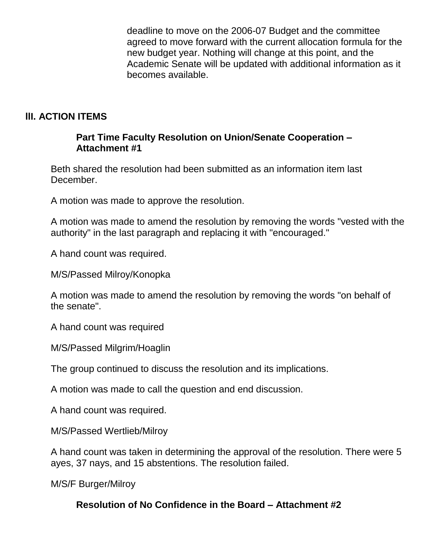deadline to move on the 2006-07 Budget and the committee agreed to move forward with the current allocation formula for the new budget year. Nothing will change at this point, and the Academic Senate will be updated with additional information as it becomes available.

### **llI. ACTION ITEMS**

#### **Part Time Faculty Resolution on Union/Senate Cooperation – Attachment #1**

Beth shared the resolution had been submitted as an information item last December.

A motion was made to approve the resolution.

A motion was made to amend the resolution by removing the words "vested with the authority" in the last paragraph and replacing it with "encouraged."

A hand count was required.

M/S/Passed Milroy/Konopka

A motion was made to amend the resolution by removing the words "on behalf of the senate".

A hand count was required

M/S/Passed Milgrim/Hoaglin

The group continued to discuss the resolution and its implications.

A motion was made to call the question and end discussion.

A hand count was required.

M/S/Passed Wertlieb/Milroy

A hand count was taken in determining the approval of the resolution. There were 5 ayes, 37 nays, and 15 abstentions. The resolution failed.

M/S/F Burger/Milroy

#### **Resolution of No Confidence in the Board – Attachment #2**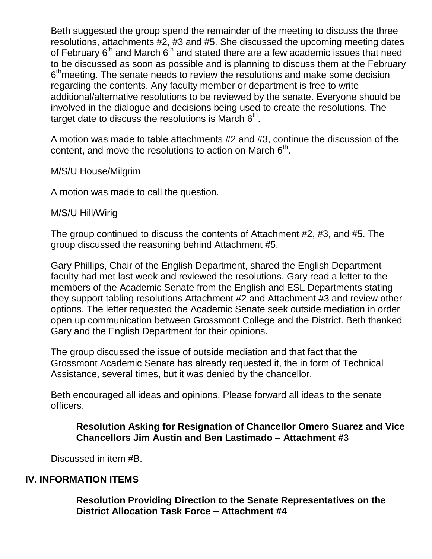Beth suggested the group spend the remainder of the meeting to discuss the three resolutions, attachments #2, #3 and #5. She discussed the upcoming meeting dates of February  $6<sup>th</sup>$  and March  $6<sup>th</sup>$  and stated there are a few academic issues that need to be discussed as soon as possible and is planning to discuss them at the February 6<sup>th</sup> meeting. The senate needs to review the resolutions and make some decision regarding the contents. Any faculty member or department is free to write additional/alternative resolutions to be reviewed by the senate. Everyone should be involved in the dialogue and decisions being used to create the resolutions. The target date to discuss the resolutions is March  $6<sup>th</sup>$ .

A motion was made to table attachments #2 and #3, continue the discussion of the content, and move the resolutions to action on March  $6<sup>th</sup>$ .

M/S/U House/Milgrim

A motion was made to call the question.

#### M/S/U Hill/Wirig

The group continued to discuss the contents of Attachment #2, #3, and #5. The group discussed the reasoning behind Attachment #5.

Gary Phillips, Chair of the English Department, shared the English Department faculty had met last week and reviewed the resolutions. Gary read a letter to the members of the Academic Senate from the English and ESL Departments stating they support tabling resolutions Attachment #2 and Attachment #3 and review other options. The letter requested the Academic Senate seek outside mediation in order open up communication between Grossmont College and the District. Beth thanked Gary and the English Department for their opinions.

The group discussed the issue of outside mediation and that fact that the Grossmont Academic Senate has already requested it, the in form of Technical Assistance, several times, but it was denied by the chancellor.

Beth encouraged all ideas and opinions. Please forward all ideas to the senate officers.

### **Resolution Asking for Resignation of Chancellor Omero Suarez and Vice Chancellors Jim Austin and Ben Lastimado – Attachment #3**

Discussed in item #B.

#### **IV. INFORMATION ITEMS**

**Resolution Providing Direction to the Senate Representatives on the District Allocation Task Force – Attachment #4**